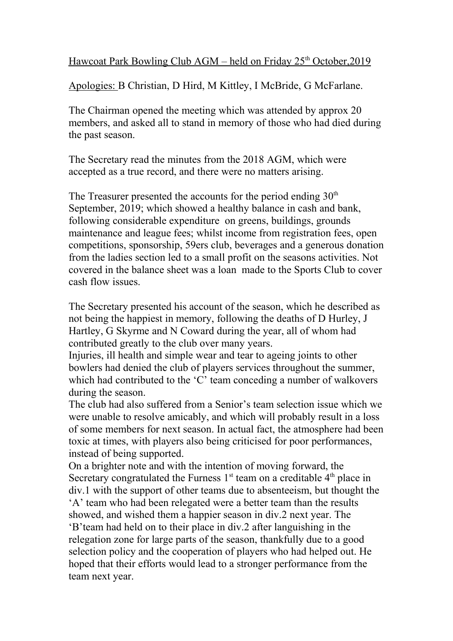Hawcoat Park Bowling Club AGM – held on Friday 25<sup>th</sup> October, 2019

Apologies: B Christian, D Hird, M Kittley, I McBride, G McFarlane.

The Chairman opened the meeting which was attended by approx 20 members, and asked all to stand in memory of those who had died during the past season.

The Secretary read the minutes from the 2018 AGM, which were accepted as a true record, and there were no matters arising.

The Treasurer presented the accounts for the period ending  $30<sup>th</sup>$ September, 2019; which showed a healthy balance in cash and bank, following considerable expenditure on greens, buildings, grounds maintenance and league fees; whilst income from registration fees, open competitions, sponsorship, 59ers club, beverages and a generous donation from the ladies section led to a small profit on the seasons activities. Not covered in the balance sheet was a loan made to the Sports Club to cover cash flow issues.

The Secretary presented his account of the season, which he described as not being the happiest in memory, following the deaths of D Hurley, J Hartley, G Skyrme and N Coward during the year, all of whom had contributed greatly to the club over many years.

Injuries, ill health and simple wear and tear to ageing joints to other bowlers had denied the club of players services throughout the summer, which had contributed to the 'C' team conceding a number of walkovers during the season.

The club had also suffered from a Senior's team selection issue which we were unable to resolve amicably, and which will probably result in a loss of some members for next season. In actual fact, the atmosphere had been toxic at times, with players also being criticised for poor performances, instead of being supported.

On a brighter note and with the intention of moving forward, the Secretary congratulated the Furness  $1<sup>st</sup>$  team on a creditable  $4<sup>th</sup>$  place in div.1 with the support of other teams due to absenteeism, but thought the 'A' team who had been relegated were a better team than the results showed, and wished them a happier season in div.2 next year. The 'B'team had held on to their place in div.2 after languishing in the relegation zone for large parts of the season, thankfully due to a good selection policy and the cooperation of players who had helped out. He hoped that their efforts would lead to a stronger performance from the team next year.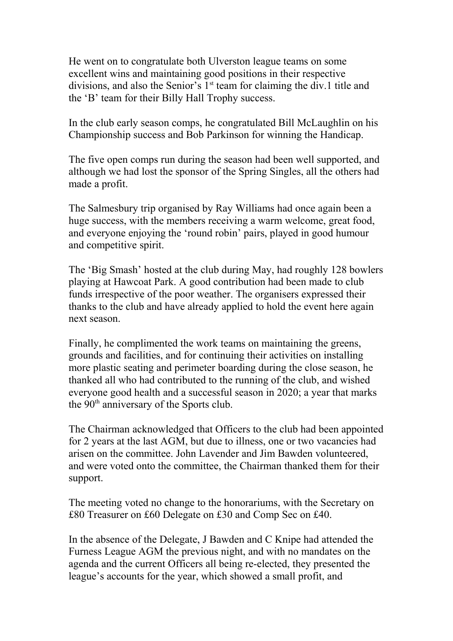He went on to congratulate both Ulverston league teams on some excellent wins and maintaining good positions in their respective divisions, and also the Senior's  $1<sup>st</sup>$  team for claiming the div.1 title and the 'B' team for their Billy Hall Trophy success.

In the club early season comps, he congratulated Bill McLaughlin on his Championship success and Bob Parkinson for winning the Handicap.

The five open comps run during the season had been well supported, and although we had lost the sponsor of the Spring Singles, all the others had made a profit.

The Salmesbury trip organised by Ray Williams had once again been a huge success, with the members receiving a warm welcome, great food, and everyone enjoying the 'round robin' pairs, played in good humour and competitive spirit.

The 'Big Smash' hosted at the club during May, had roughly 128 bowlers playing at Hawcoat Park. A good contribution had been made to club funds irrespective of the poor weather. The organisers expressed their thanks to the club and have already applied to hold the event here again next season.

Finally, he complimented the work teams on maintaining the greens, grounds and facilities, and for continuing their activities on installing more plastic seating and perimeter boarding during the close season, he thanked all who had contributed to the running of the club, and wished everyone good health and a successful season in 2020; a year that marks the 90<sup>th</sup> anniversary of the Sports club.

The Chairman acknowledged that Officers to the club had been appointed for 2 years at the last AGM, but due to illness, one or two vacancies had arisen on the committee. John Lavender and Jim Bawden volunteered, and were voted onto the committee, the Chairman thanked them for their support.

The meeting voted no change to the honorariums, with the Secretary on £80 Treasurer on £60 Delegate on £30 and Comp Sec on £40.

In the absence of the Delegate, J Bawden and C Knipe had attended the Furness League AGM the previous night, and with no mandates on the agenda and the current Officers all being re-elected, they presented the league's accounts for the year, which showed a small profit, and